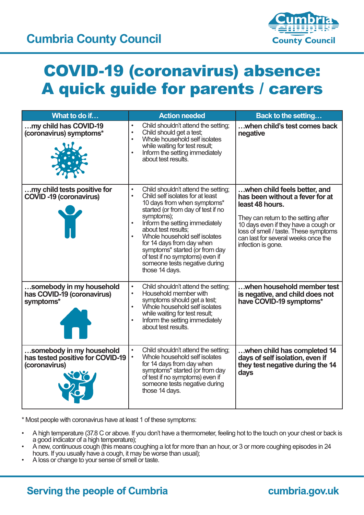

## COVID-19 (coronavirus) absence: A quick guide for parents / carers

| What to do if                                                                 | <b>Action needed</b>                                                                                                                                                                                                                                                                                                                                                                                                   | <b>Back to the setting</b>                                                                                                                                                                                                                                               |
|-------------------------------------------------------------------------------|------------------------------------------------------------------------------------------------------------------------------------------------------------------------------------------------------------------------------------------------------------------------------------------------------------------------------------------------------------------------------------------------------------------------|--------------------------------------------------------------------------------------------------------------------------------------------------------------------------------------------------------------------------------------------------------------------------|
| my child has COVID-19<br>(coronavirus) symptoms*                              | Child shouldn't attend the setting;<br>$\bullet$<br>Child should get a test;<br>$\bullet$<br>Whole household self isolates<br>while waiting for test result;<br>Inform the setting immediately<br>about test results.                                                                                                                                                                                                  | when child's test comes back<br>negative                                                                                                                                                                                                                                 |
| my child tests positive for<br><b>COVID-19 (coronavirus)</b><br>M             | Child shouldn't attend the setting;<br>$\bullet$<br>Child self isolates for at least<br>10 days from when symptoms*<br>started (or from day of test if no<br>symptoms);<br>Inform the setting immediately<br>about test results:<br>Whole household self isolates<br>for 14 days from day when<br>symptoms* started (or from day<br>of test if no symptoms) even if<br>someone tests negative during<br>those 14 days. | when child feels better, and<br>has been without a fever for at<br>least 48 hours.<br>They can return to the setting after<br>10 days even if they have a cough or<br>loss of smell / taste. These symptoms<br>can last for several weeks once the<br>infection is gone. |
| somebody in my household<br>has COVID-19 (coronavirus)<br>symptoms*           | Child shouldn't attend the setting;<br>$\bullet$<br>Household member with<br>$\bullet$<br>symptoms should get a test;<br>Whole household self isolates<br>while waiting for test result;<br>Inform the setting immediately<br>about test results.                                                                                                                                                                      | when household member test<br>is negative, and child does not<br>have COVID-19 symptoms*                                                                                                                                                                                 |
| somebody in my household<br>has tested positive for COVID-19<br>(coronavirus) | Child shouldn't attend the setting;<br>$\bullet$<br>Whole household self isolates<br>$\bullet$<br>for 14 days from day when<br>symptoms* started (or from day<br>of test if no symptoms) even if<br>someone tests negative during<br>those 14 days.                                                                                                                                                                    | when child has completed 14<br>days of self isolation, even if<br>they test negative during the 14<br>days                                                                                                                                                               |

\* Most people with coronavirus have at least 1 of these symptoms:

- A high temperature (37.8 C or above. If you don't have a thermometer, feeling hot to the touch on your chest or back is a good indicator of a high temperature);
- A new, continuous cough (this means coughing a lot for more than an hour, or 3 or more coughing episodes in 24 hours. If you usually have a cough, it may be worse than usual);
- A loss or change to your sense of smell or taste.

## **Serving the people of Cumbria**

## cumbria.gov.uk